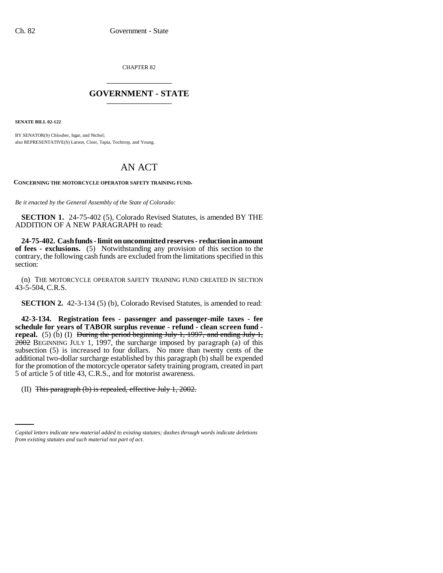CHAPTER 82 \_\_\_\_\_\_\_\_\_\_\_\_\_\_\_

## **GOVERNMENT - STATE** \_\_\_\_\_\_\_\_\_\_\_\_\_\_\_

**SENATE BILL 02-122**

BY SENATOR(S) Chlouber, Isgar, and Nichol; also REPRESENTATIVE(S) Larson, Cloer, Tapia, Tochtrop, and Young.

## AN ACT

**CONCERNING THE MOTORCYCLE OPERATOR SAFETY TRAINING FUND.**

*Be it enacted by the General Assembly of the State of Colorado:*

**SECTION 1.** 24-75-402 (5), Colorado Revised Statutes, is amended BY THE ADDITION OF A NEW PARAGRAPH to read:

**24-75-402. Cash funds - limit on uncommitted reserves - reduction in amount of fees - exclusions.** (5) Notwithstanding any provision of this section to the contrary, the following cash funds are excluded from the limitations specified in this section:

(n) THE MOTORCYCLE OPERATOR SAFETY TRAINING FUND CREATED IN SECTION 43-5-504, C.R.S.

**SECTION 2.** 42-3-134 (5) (b), Colorado Revised Statutes, is amended to read:

**42-3-134. Registration fees - passenger and passenger-mile taxes - fee schedule for years of TABOR surplus revenue - refund - clean screen fund repeal.** (5) (b) (I) During the period beginning July 1, 1997, and ending July 1,  $2002$  BEGINNING JULY 1, 1997, the surcharge imposed by paragraph (a) of this subsection (5) is increased to four dollars. No more than twenty cents of the additional two-dollar surcharge established by this paragraph (b) shall be expended for the promotion of the motorcycle operator safety training program, created in part 5 of article 5 of title 43, C.R.S., and for motorist awareness.

(II) This paragraph (b) is repealed, effective July 1, 2002.

*Capital letters indicate new material added to existing statutes; dashes through words indicate deletions from existing statutes and such material not part of act.*